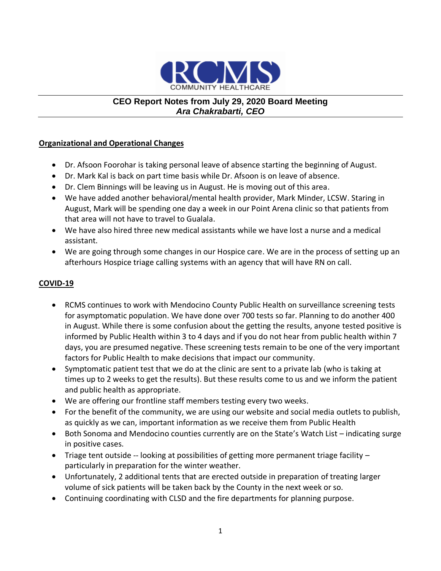

# **CEO Report Notes from July 29, 2020 Board Meeting** *Ara Chakrabarti, CEO*

## **Organizational and Operational Changes**

- Dr. Afsoon Foorohar is taking personal leave of absence starting the beginning of August.
- Dr. Mark Kal is back on part time basis while Dr. Afsoon is on leave of absence.
- Dr. Clem Binnings will be leaving us in August. He is moving out of this area.
- We have added another behavioral/mental health provider, Mark Minder, LCSW. Staring in August, Mark will be spending one day a week in our Point Arena clinic so that patients from that area will not have to travel to Gualala.
- We have also hired three new medical assistants while we have lost a nurse and a medical assistant.
- We are going through some changes in our Hospice care. We are in the process of setting up an afterhours Hospice triage calling systems with an agency that will have RN on call.

## **COVID-19**

- RCMS continues to work with Mendocino County Public Health on surveillance screening tests for asymptomatic population. We have done over 700 tests so far. Planning to do another 400 in August. While there is some confusion about the getting the results, anyone tested positive is informed by Public Health within 3 to 4 days and if you do not hear from public health within 7 days, you are presumed negative. These screening tests remain to be one of the very important factors for Public Health to make decisions that impact our community.
- Symptomatic patient test that we do at the clinic are sent to a private lab (who is taking at times up to 2 weeks to get the results). But these results come to us and we inform the patient and public health as appropriate.
- We are offering our frontline staff members testing every two weeks.
- For the benefit of the community, we are using our website and social media outlets to publish, as quickly as we can, important information as we receive them from Public Health
- Both Sonoma and Mendocino counties currently are on the State's Watch List indicating surge in positive cases.
- Triage tent outside -- looking at possibilities of getting more permanent triage facility particularly in preparation for the winter weather.
- Unfortunately, 2 additional tents that are erected outside in preparation of treating larger volume of sick patients will be taken back by the County in the next week or so.
- Continuing coordinating with CLSD and the fire departments for planning purpose.